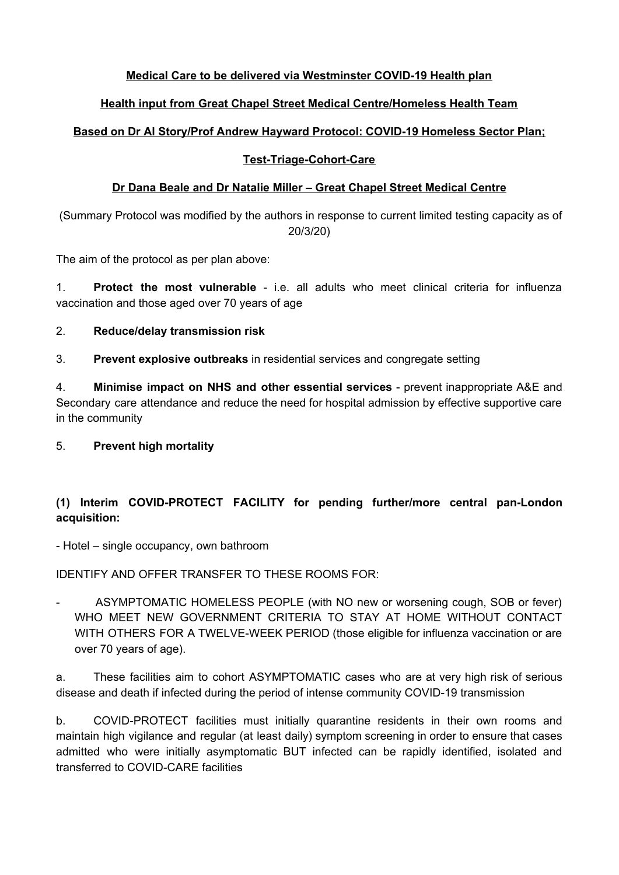## **Medical Care to be delivered via Westminster COVID-19 Health plan**

# **Health input from Great Chapel Street Medical Centre/Homeless Health Team**

# **Based on Dr Al Story/Prof Andrew Hayward Protocol: COVID-19 Homeless Sector Plan;**

## **Test-Triage-Cohort-Care**

## **Dr Dana Beale and Dr Natalie Miller – Great Chapel Street Medical Centre**

(Summary Protocol was modified by the authors in response to current limited testing capacity as of 20/3/20)

The aim of the protocol as per plan above:

1. **Protect the most vulnerable** - i.e. all adults who meet clinical criteria for influenza vaccination and those aged over 70 years of age

- 2. **Reduce/delay transmission risk**
- 3. **Prevent explosive outbreaks** in residential services and congregate setting

4. **Minimise impact on NHS and other essential services** - prevent inappropriate A&E and Secondary care attendance and reduce the need for hospital admission by effective supportive care in the community

# 5. **Prevent high mortality**

# **(1) Interim COVID-PROTECT FACILITY for pending further/more central pan-London acquisition:**

- Hotel – single occupancy, own bathroom

IDENTIFY AND OFFER TRANSFER TO THESE ROOMS FOR:

ASYMPTOMATIC HOMELESS PEOPLE (with NO new or worsening cough, SOB or fever) WHO MEET NEW GOVERNMENT CRITERIA TO STAY AT HOME WITHOUT CONTACT WITH OTHERS FOR A TWELVE-WEEK PERIOD (those eligible for influenza vaccination or are over 70 years of age).

a. These facilities aim to cohort ASYMPTOMATIC cases who are at very high risk of serious disease and death if infected during the period of intense community COVID-19 transmission

b. COVID-PROTECT facilities must initially quarantine residents in their own rooms and maintain high vigilance and regular (at least daily) symptom screening in order to ensure that cases admitted who were initially asymptomatic BUT infected can be rapidly identified, isolated and transferred to COVID-CARE facilities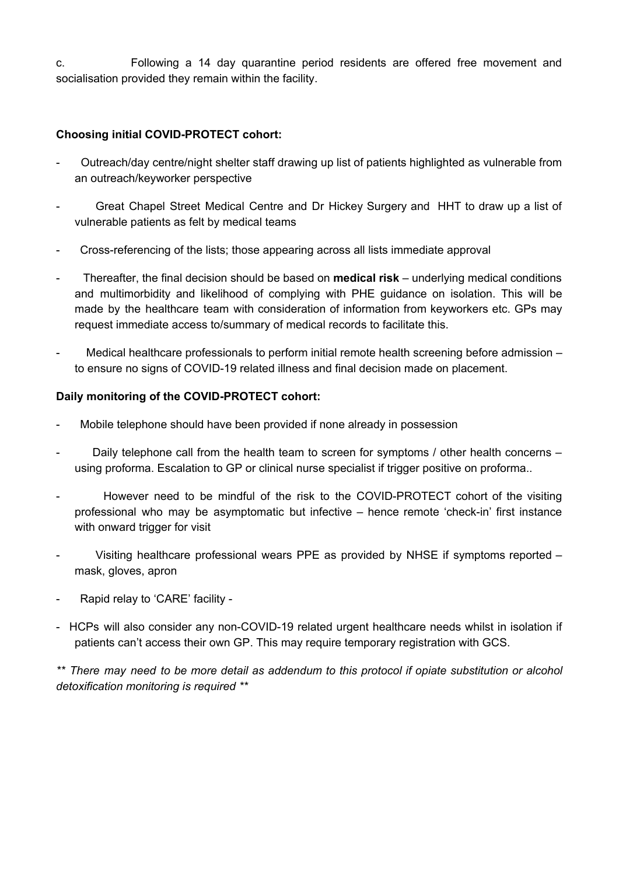c. Following a 14 day quarantine period residents are offered free movement and socialisation provided they remain within the facility.

## **Choosing initial COVID-PROTECT cohort:**

- Outreach/day centre/night shelter staff drawing up list of patients highlighted as vulnerable from an outreach/keyworker perspective
- Great Chapel Street Medical Centre and Dr Hickey Surgery and HHT to draw up a list of vulnerable patients as felt by medical teams
- Cross-referencing of the lists; those appearing across all lists immediate approval
- Thereafter, the final decision should be based on **medical risk** underlying medical conditions and multimorbidity and likelihood of complying with PHE guidance on isolation. This will be made by the healthcare team with consideration of information from keyworkers etc. GPs may request immediate access to/summary of medical records to facilitate this.
- Medical healthcare professionals to perform initial remote health screening before admission to ensure no signs of COVID-19 related illness and final decision made on placement.

### **Daily monitoring of the COVID-PROTECT cohort:**

- Mobile telephone should have been provided if none already in possession
- Daily telephone call from the health team to screen for symptoms / other health concerns using proforma. Escalation to GP or clinical nurse specialist if trigger positive on proforma..
- However need to be mindful of the risk to the COVID-PROTECT cohort of the visiting professional who may be asymptomatic but infective – hence remote 'check-in' first instance with onward trigger for visit
- Visiting healthcare professional wears PPE as provided by NHSE if symptoms reported mask, gloves, apron
- Rapid relay to 'CARE' facility -
- HCPs will also consider any non-COVID-19 related urgent healthcare needs whilst in isolation if patients can't access their own GP. This may require temporary registration with GCS.

*\*\* There may need to be more detail as addendum to this protocol if opiate substitution or alcohol detoxification monitoring is required \*\**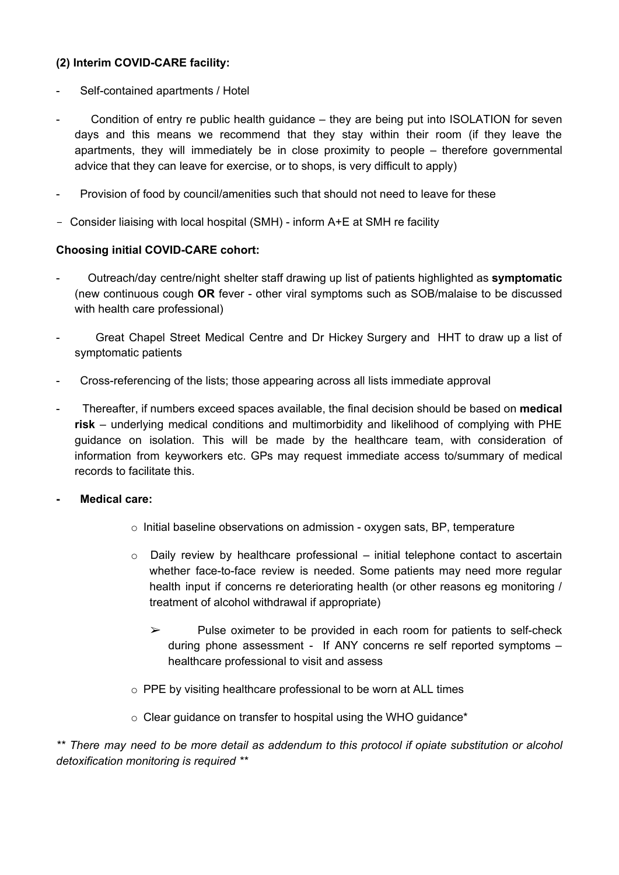## **(2) Interim COVID-CARE facility:**

- Self-contained apartments / Hotel
- Condition of entry re public health guidance they are being put into ISOLATION for seven days and this means we recommend that they stay within their room (if they leave the apartments, they will immediately be in close proximity to people – therefore governmental advice that they can leave for exercise, or to shops, is very difficult to apply)
- Provision of food by council/amenities such that should not need to leave for these
- Consider liaising with local hospital (SMH) inform A+E at SMH re facility

#### **Choosing initial COVID-CARE cohort:**

- Outreach/day centre/night shelter staff drawing up list of patients highlighted as **symptomatic** (new continuous cough **OR** fever - other viral symptoms such as SOB/malaise to be discussed with health care professional)
- Great Chapel Street Medical Centre and Dr Hickey Surgery and HHT to draw up a list of symptomatic patients
- Cross-referencing of the lists; those appearing across all lists immediate approval
- Thereafter, if numbers exceed spaces available, the final decision should be based on **medical risk** – underlying medical conditions and multimorbidity and likelihood of complying with PHE guidance on isolation. This will be made by the healthcare team, with consideration of information from keyworkers etc. GPs may request immediate access to/summary of medical records to facilitate this.
- **- Medical care:**
	- o Initial baseline observations on admission oxygen sats, BP, temperature
	- $\circ$  Daily review by healthcare professional initial telephone contact to ascertain whether face-to-face review is needed. Some patients may need more regular health input if concerns re deteriorating health (or other reasons eg monitoring / treatment of alcohol withdrawal if appropriate)
		- $\triangleright$  Pulse oximeter to be provided in each room for patients to self-check during phone assessment - If ANY concerns re self reported symptoms – healthcare professional to visit and assess
	- o PPE by visiting healthcare professional to be worn at ALL times
	- o Clear guidance on transfer to hospital using the WHO guidance\*

*\*\* There may need to be more detail as addendum to this protocol if opiate substitution or alcohol detoxification monitoring is required \*\**